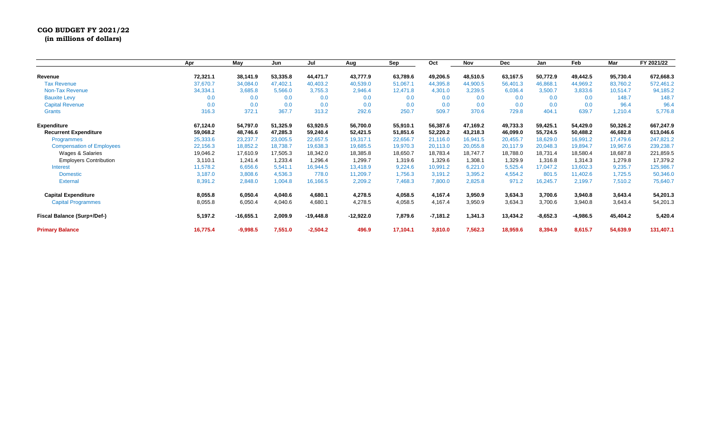## **CGO BUDGET FY 2021/22 (in millions of dollars)**

**Apr May Jun Jul Aug Sep Oct Nov Dec Jan Feb Mar FY 2021/22 Revenue 72,321.1 38,141.9 53,335.8 44,471.7 43,777.9 63,789.6 49,206.5 48,510.5 63,167.5 50,772.9 49,442.5 95,730.4 672,668.3** Tax Revenue 37,670.7 34,084.0 47,402.1 40,403.2 40,539.0 51,067.1 44,395.8 44,900.5 56,401.3 46,868.1 44,969.2 83,760.2 572,461.2 Non-Tax Revenue 34,334.1 3,685.8 5,566.0 3,755.3 2,946.4 12,471.8 4,301.0 3,239.5 6,036.4 3,500.7 3,833.6 10,514.7 94,185.2 Bauxite Levy 0.0 0.0 0.0 0.0 0.0 0.0 0.0 0.0 148.7 148.7 Capital Revenue 0.0 0.0 0.0 0.0 0.0 0.0 0.0 0.0 0.0 0.0 0.0 96.4 96.4 Grants 316.3 316.3 372.1 367.7 313.2 292.6 250.7 509.7 370.6 729.8 404.1 639.7 1,210.4 5,776.8 Expenditure 67,124.0 54,797.0 51,325.9 63,920.5 56,700.0 55,910.1 56,387.6 47,169.2 49,733.3 59,425.1 54,429.0 50,326.2 667,247.9 Recurrent Expenditure 59,068.2 48,746.6 47,285.3 59,240.4 52,421.5 51,851.6 52,220.2 43,218.3 46,099.0 55,724.5 50,488.2 46,682.8 613,046.6 Programmes 25,333.6 23,237.7 23,005.5 22,657.5 19,317.1 22,656.7 21,116.0 16,941.5 20,455.7 18,629.0 16,991.2 17,479.6 247,821.2 Compensation of Employees 22,156.3 18,852.2 18,738.7 19,638.3 19,685.5 19,970.3 20,113.0 20,055.8 20,117.9 20,048.3 19,894.7 19,967.6 239,238.7 Wages & Salaries 19,046.2 17,610.9 17,505.3 18,342.0 18,385.8 18,650.7 18,783.4 18,787.7 18,788.0 18,731.4 18,580.4 18,687.8 221,859.5 Employers Contribution 3,110.1 1,241.4 1,233.4 1,296.4 1,299.7 1,319.6 1,329.6 1,308.1 1,329.9 1,316.8 1,314.3 1,279.8 17,379.2 Interest 11,578.2 6,656.6 5,541.1 16,944.5 13,418.9 9,224.6 10,991.2 6,221.0 5,525.4 17,047.2 13,602.3 9,235.7 125,986.7 Domestic 3,187.0 3,808.6 4,536.3 778.0 11,209.7 1,756.3 3,191.2 3,395.2 4,554.2 801.5 11,402.6 1,725.5 50,346.0 External 8,391.2 2,848.0 1,004.8 16,166.5 2,209.2 7,468.3 7,800.0 2,825.8 971.2 16,245.7 2,199.7 7,510.2 75,640.7 **Capital Expenditure 8,055.8 6,050.4 4,040.6 4,680.1 4,278.5 4,058.5 4,167.4 3,950.9 3,634.3 3,700.6 3,940.8 3,643.4 54,201.3** Capital Programmes 8,055.8 6,050.4 4,040.6 4,680.1 4,278.5 4,058.5 4,167.4 3,950.9 3,634.3 3,700.6 3,940.8 3,643.4 54,201.3 Fiscal Balance (Surp+/Def-) 5,197.2 -16,655.1 2,009.9 -19,448.8 -12,922.0 7,879.6 -7,181.2 1,341.3 13,434.2 -8,652.3 -4,986.5 45,404.2 5,420.4 **Primary Balance 16,775.4 -9,998.5 7,551.0 -2,504.2 496.9 17,104.1 3,810.0 7,562.3 18,959.6 8,394.9 8,615.7 54,639.9 131,407.1**